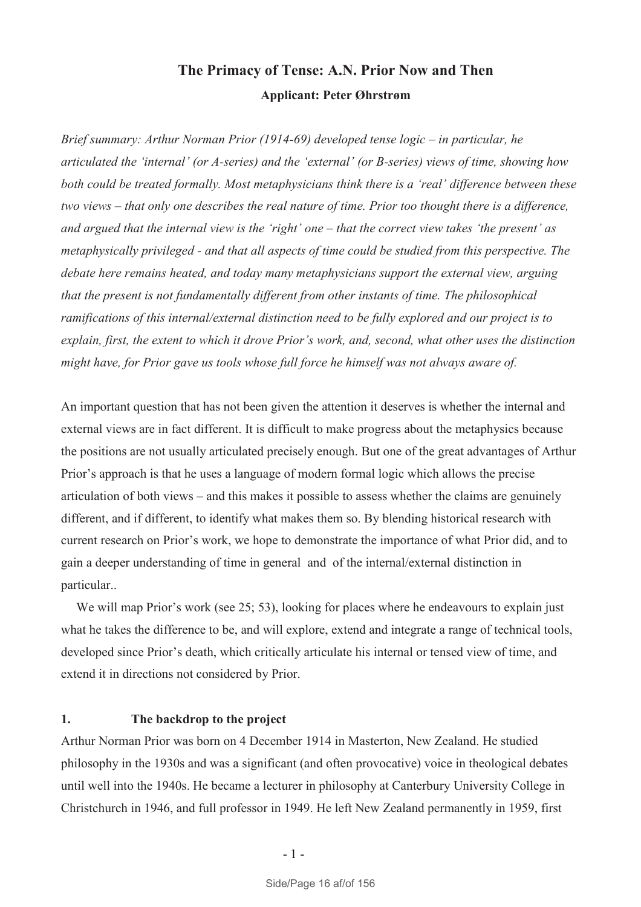# **The Primacy of Tense: A.N. Prior Now and Then Applicant: Peter Øhrstrøm**

*Brief summary: Arthur Norman Prior (1914-69) developed tense logic – in particular, he articulated the 'internal' (or A-series) and the 'external' (or B-series) views of time, showing how both could be treated formally. Most metaphysicians think there is a 'real' difference between these two views – that only one describes the real nature of time. Prior too thought there is a difference, and argued that the internal view is the 'right' one – that the correct view takes 'the present' as metaphysically privileged - and that all aspects of time could be studied from this perspective. The debate here remains heated, and today many metaphysicians support the external view, arguing that the present is not fundamentally different from other instants of time. The philosophical ramifications of this internal/external distinction need to be fully explored and our project is to explain, first, the extent to which it drove Prior's work, and, second, what other uses the distinction might have, for Prior gave us tools whose full force he himself was not always aware of.* 

An important question that has not been given the attention it deserves is whether the internal and external views are in fact different. It is difficult to make progress about the metaphysics because the positions are not usually articulated precisely enough. But one of the great advantages of Arthur Prior's approach is that he uses a language of modern formal logic which allows the precise articulation of both views – and this makes it possible to assess whether the claims are genuinely different, and if different, to identify what makes them so. By blending historical research with current research on Prior's work, we hope to demonstrate the importance of what Prior did, and to gain a deeper understanding of time in general and of the internal/external distinction in particular..

We will map Prior's work (see 25: 53), looking for places where he endeavours to explain just what he takes the difference to be, and will explore, extend and integrate a range of technical tools, developed since Prior's death, which critically articulate his internal or tensed view of time, and extend it in directions not considered by Prior.

# **1. The backdrop to the project**

Arthur Norman Prior was born on 4 December 1914 in Masterton, New Zealand. He studied philosophy in the 1930s and was a significant (and often provocative) voice in theological debates until well into the 1940s. He became a lecturer in philosophy at Canterbury University College in Christchurch in 1946, and full professor in 1949. He left New Zealand permanently in 1959, first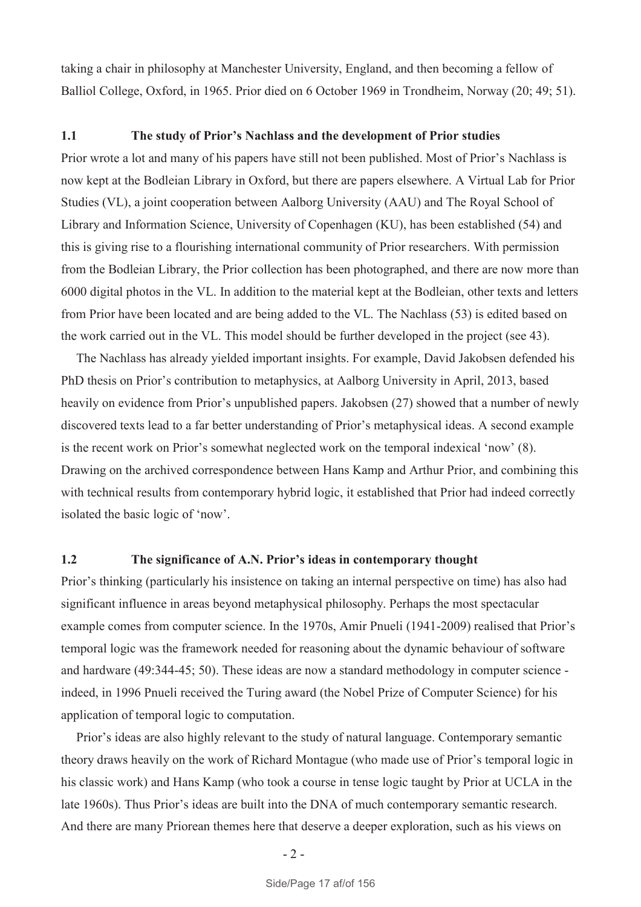taking a chair in philosophy at Manchester University, England, and then becoming a fellow of Balliol College, Oxford, in 1965. Prior died on 6 October 1969 in Trondheim, Norway (20; 49; 51).

## **1.1 The study of Prior's Nachlass and the development of Prior studies**

Prior wrote a lot and many of his papers have still not been published. Most of Prior's Nachlass is now kept at the Bodleian Library in Oxford, but there are papers elsewhere. A Virtual Lab for Prior Studies (VL), a joint cooperation between Aalborg University (AAU) and The Royal School of Library and Information Science, University of Copenhagen (KU), has been established (54) and this is giving rise to a flourishing international community of Prior researchers. With permission from the Bodleian Library, the Prior collection has been photographed, and there are now more than 6000 digital photos in the VL. In addition to the material kept at the Bodleian, other texts and letters from Prior have been located and are being added to the VL. The Nachlass (53) is edited based on the work carried out in the VL. This model should be further developed in the project (see 43).

 The Nachlass has already yielded important insights. For example, David Jakobsen defended his PhD thesis on Prior's contribution to metaphysics, at Aalborg University in April, 2013, based heavily on evidence from Prior's unpublished papers. Jakobsen (27) showed that a number of newly discovered texts lead to a far better understanding of Prior's metaphysical ideas. A second example is the recent work on Prior's somewhat neglected work on the temporal indexical 'now' (8). Drawing on the archived correspondence between Hans Kamp and Arthur Prior, and combining this with technical results from contemporary hybrid logic, it established that Prior had indeed correctly isolated the basic logic of 'now'.

#### **1.2 The significance of A.N. Prior's ideas in contemporary thought**

Prior's thinking (particularly his insistence on taking an internal perspective on time) has also had significant influence in areas beyond metaphysical philosophy. Perhaps the most spectacular example comes from computer science. In the 1970s, Amir Pnueli (1941-2009) realised that Prior's temporal logic was the framework needed for reasoning about the dynamic behaviour of software and hardware (49:344-45; 50). These ideas are now a standard methodology in computer science indeed, in 1996 Pnueli received the Turing award (the Nobel Prize of Computer Science) for his application of temporal logic to computation.

Prior's ideas are also highly relevant to the study of natural language. Contemporary semantic theory draws heavily on the work of Richard Montague (who made use of Prior's temporal logic in his classic work) and Hans Kamp (who took a course in tense logic taught by Prior at UCLA in the late 1960s). Thus Prior's ideas are built into the DNA of much contemporary semantic research. And there are many Priorean themes here that deserve a deeper exploration, such as his views on

 $-2-$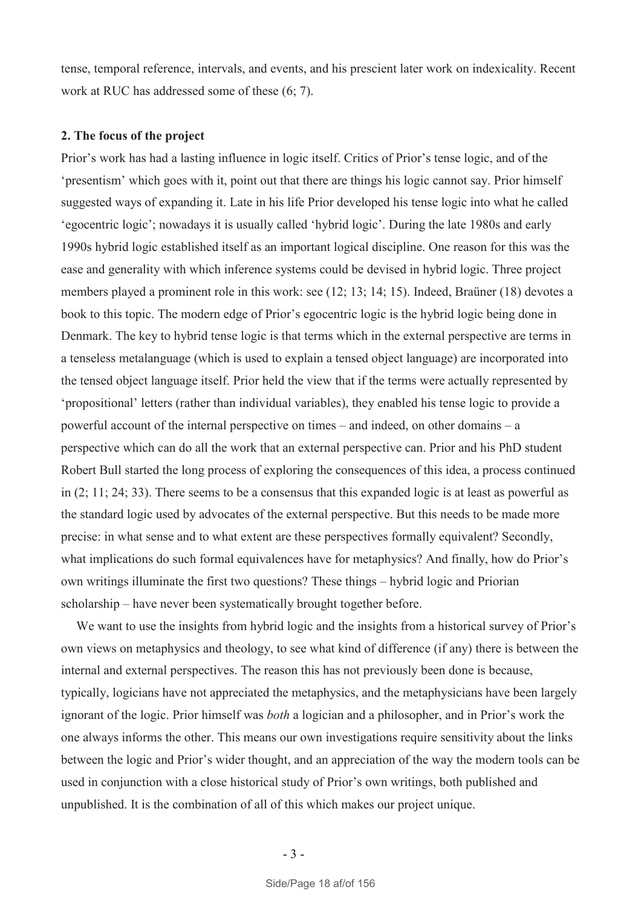tense, temporal reference, intervals, and events, and his prescient later work on indexicality. Recent work at RUC has addressed some of these (6; 7).

## **2. The focus of the project**

Prior's work has had a lasting influence in logic itself. Critics of Prior's tense logic, and of the 'presentism' which goes with it, point out that there are things his logic cannot say. Prior himself suggested ways of expanding it. Late in his life Prior developed his tense logic into what he called 'egocentric logic'; nowadays it is usually called 'hybrid logic'. During the late 1980s and early 1990s hybrid logic established itself as an important logical discipline. One reason for this was the ease and generality with which inference systems could be devised in hybrid logic. Three project members played a prominent role in this work: see (12; 13; 14; 15). Indeed, Braüner (18) devotes a book to this topic. The modern edge of Prior's egocentric logic is the hybrid logic being done in Denmark. The key to hybrid tense logic is that terms which in the external perspective are terms in a tenseless metalanguage (which is used to explain a tensed object language) are incorporated into the tensed object language itself. Prior held the view that if the terms were actually represented by 'propositional' letters (rather than individual variables), they enabled his tense logic to provide a powerful account of the internal perspective on times – and indeed, on other domains – a perspective which can do all the work that an external perspective can. Prior and his PhD student Robert Bull started the long process of exploring the consequences of this idea, a process continued in (2; 11; 24; 33). There seems to be a consensus that this expanded logic is at least as powerful as the standard logic used by advocates of the external perspective. But this needs to be made more precise: in what sense and to what extent are these perspectives formally equivalent? Secondly, what implications do such formal equivalences have for metaphysics? And finally, how do Prior's own writings illuminate the first two questions? These things – hybrid logic and Priorian scholarship – have never been systematically brought together before.

We want to use the insights from hybrid logic and the insights from a historical survey of Prior's own views on metaphysics and theology, to see what kind of difference (if any) there is between the internal and external perspectives. The reason this has not previously been done is because, typically, logicians have not appreciated the metaphysics, and the metaphysicians have been largely ignorant of the logic. Prior himself was *both* a logician and a philosopher, and in Prior's work the one always informs the other. This means our own investigations require sensitivity about the links between the logic and Prior's wider thought, and an appreciation of the way the modern tools can be used in conjunction with a close historical study of Prior's own writings, both published and unpublished. It is the combination of all of this which makes our project unique.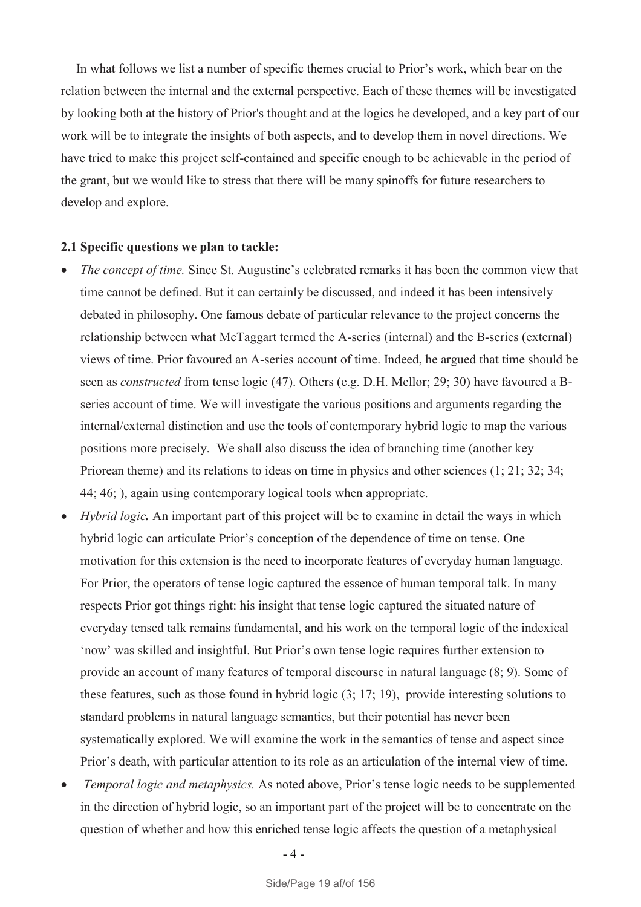In what follows we list a number of specific themes crucial to Prior's work, which bear on the relation between the internal and the external perspective. Each of these themes will be investigated by looking both at the history of Prior's thought and at the logics he developed, and a key part of our work will be to integrate the insights of both aspects, and to develop them in novel directions. We have tried to make this project self-contained and specific enough to be achievable in the period of the grant, but we would like to stress that there will be many spinoffs for future researchers to develop and explore.

#### **2.1 Specific questions we plan to tackle:**

- · *The concept of time.* Since St. Augustine's celebrated remarks it has been the common view that time cannot be defined. But it can certainly be discussed, and indeed it has been intensively debated in philosophy. One famous debate of particular relevance to the project concerns the relationship between what McTaggart termed the A-series (internal) and the B-series (external) views of time. Prior favoured an A-series account of time. Indeed, he argued that time should be seen as *constructed* from tense logic (47). Others (e.g. D.H. Mellor; 29; 30) have favoured a Bseries account of time. We will investigate the various positions and arguments regarding the internal/external distinction and use the tools of contemporary hybrid logic to map the various positions more precisely. We shall also discuss the idea of branching time (another key Priorean theme) and its relations to ideas on time in physics and other sciences (1; 21; 32; 34; 44; 46; ), again using contemporary logical tools when appropriate.
- · *Hybrid logic.* An important part of this project will be to examine in detail the ways in which hybrid logic can articulate Prior's conception of the dependence of time on tense. One motivation for this extension is the need to incorporate features of everyday human language. For Prior, the operators of tense logic captured the essence of human temporal talk. In many respects Prior got things right: his insight that tense logic captured the situated nature of everyday tensed talk remains fundamental, and his work on the temporal logic of the indexical 'now' was skilled and insightful. But Prior's own tense logic requires further extension to provide an account of many features of temporal discourse in natural language (8; 9). Some of these features, such as those found in hybrid logic (3; 17; 19), provide interesting solutions to standard problems in natural language semantics, but their potential has never been systematically explored. We will examine the work in the semantics of tense and aspect since Prior's death, with particular attention to its role as an articulation of the internal view of time.
- · *Temporal logic and metaphysics.* As noted above, Prior's tense logic needs to be supplemented in the direction of hybrid logic, so an important part of the project will be to concentrate on the question of whether and how this enriched tense logic affects the question of a metaphysical

- 4 -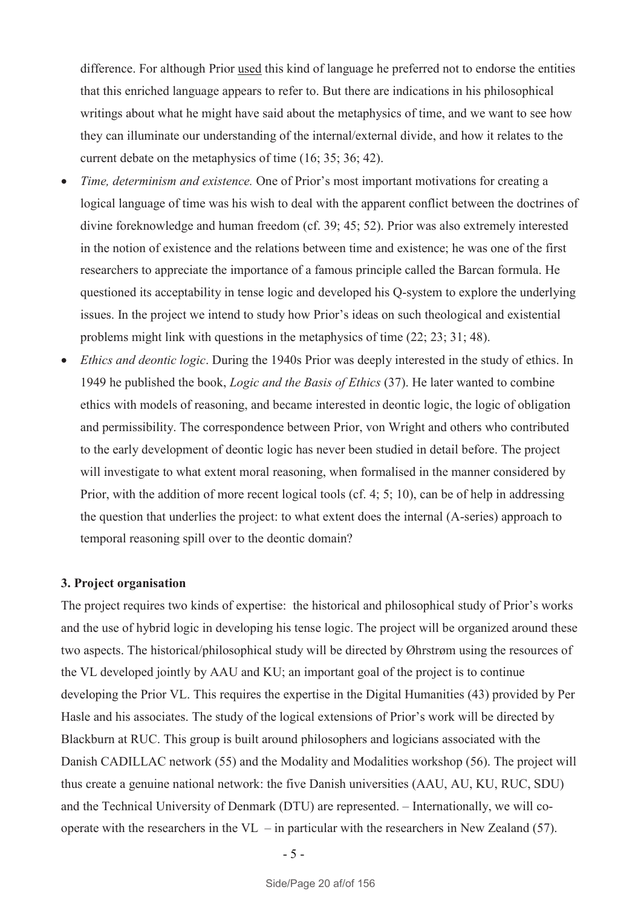difference. For although Prior used this kind of language he preferred not to endorse the entities that this enriched language appears to refer to. But there are indications in his philosophical writings about what he might have said about the metaphysics of time, and we want to see how they can illuminate our understanding of the internal/external divide, and how it relates to the current debate on the metaphysics of time (16; 35; 36; 42).

- · *Time, determinism and existence.* One of Prior's most important motivations for creating a logical language of time was his wish to deal with the apparent conflict between the doctrines of divine foreknowledge and human freedom (cf. 39; 45; 52). Prior was also extremely interested in the notion of existence and the relations between time and existence; he was one of the first researchers to appreciate the importance of a famous principle called the Barcan formula. He questioned its acceptability in tense logic and developed his Q-system to explore the underlying issues. In the project we intend to study how Prior's ideas on such theological and existential problems might link with questions in the metaphysics of time (22; 23; 31; 48).
- · *Ethics and deontic logic*. During the 1940s Prior was deeply interested in the study of ethics. In 1949 he published the book, *Logic and the Basis of Ethics* (37). He later wanted to combine ethics with models of reasoning, and became interested in deontic logic, the logic of obligation and permissibility. The correspondence between Prior, von Wright and others who contributed to the early development of deontic logic has never been studied in detail before. The project will investigate to what extent moral reasoning, when formalised in the manner considered by Prior, with the addition of more recent logical tools (cf. 4; 5; 10), can be of help in addressing the question that underlies the project: to what extent does the internal (A-series) approach to temporal reasoning spill over to the deontic domain?

#### **3. Project organisation**

The project requires two kinds of expertise: the historical and philosophical study of Prior's works and the use of hybrid logic in developing his tense logic. The project will be organized around these two aspects. The historical/philosophical study will be directed by Øhrstrøm using the resources of the VL developed jointly by AAU and KU; an important goal of the project is to continue developing the Prior VL. This requires the expertise in the Digital Humanities (43) provided by Per Hasle and his associates. The study of the logical extensions of Prior's work will be directed by Blackburn at RUC. This group is built around philosophers and logicians associated with the Danish CADILLAC network (55) and the Modality and Modalities workshop (56). The project will thus create a genuine national network: the five Danish universities (AAU, AU, KU, RUC, SDU) and the Technical University of Denmark (DTU) are represented. – Internationally, we will cooperate with the researchers in the  $VL$  – in particular with the researchers in New Zealand (57).

- 5 -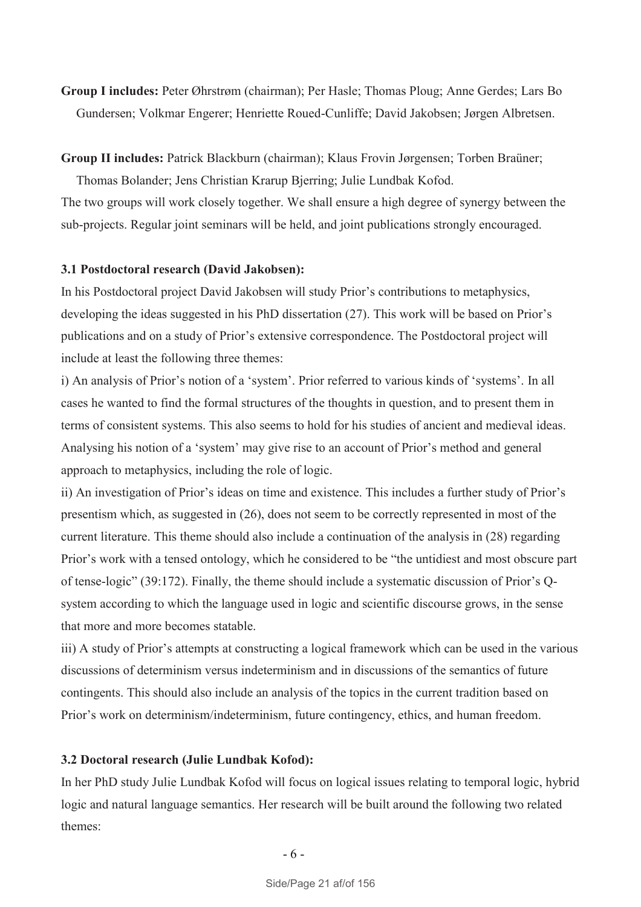**Group I includes:** Peter Øhrstrøm (chairman); Per Hasle; Thomas Ploug; Anne Gerdes; Lars Bo Gundersen; Volkmar Engerer; Henriette Roued-Cunliffe; David Jakobsen; Jørgen Albretsen.

#### **Group II includes:** Patrick Blackburn (chairman); Klaus Frovin Jørgensen; Torben Braüner;

Thomas Bolander; Jens Christian Krarup Bjerring; Julie Lundbak Kofod. The two groups will work closely together. We shall ensure a high degree of synergy between the sub-projects. Regular joint seminars will be held, and joint publications strongly encouraged.

#### **3.1 Postdoctoral research (David Jakobsen):**

In his Postdoctoral project David Jakobsen will study Prior's contributions to metaphysics, developing the ideas suggested in his PhD dissertation (27). This work will be based on Prior's publications and on a study of Prior's extensive correspondence. The Postdoctoral project will include at least the following three themes:

i) An analysis of Prior's notion of a 'system'. Prior referred to various kinds of 'systems'. In all cases he wanted to find the formal structures of the thoughts in question, and to present them in terms of consistent systems. This also seems to hold for his studies of ancient and medieval ideas. Analysing his notion of a 'system' may give rise to an account of Prior's method and general approach to metaphysics, including the role of logic.

ii) An investigation of Prior's ideas on time and existence. This includes a further study of Prior's presentism which, as suggested in (26), does not seem to be correctly represented in most of the current literature. This theme should also include a continuation of the analysis in (28) regarding Prior's work with a tensed ontology, which he considered to be "the untidiest and most obscure part of tense-logic" (39:172). Finally, the theme should include a systematic discussion of Prior's Qsystem according to which the language used in logic and scientific discourse grows, in the sense that more and more becomes statable.

iii) A study of Prior's attempts at constructing a logical framework which can be used in the various discussions of determinism versus indeterminism and in discussions of the semantics of future contingents. This should also include an analysis of the topics in the current tradition based on Prior's work on determinism/indeterminism, future contingency, ethics, and human freedom.

# **3.2 Doctoral research (Julie Lundbak Kofod):**

In her PhD study Julie Lundbak Kofod will focus on logical issues relating to temporal logic, hybrid logic and natural language semantics. Her research will be built around the following two related themes: